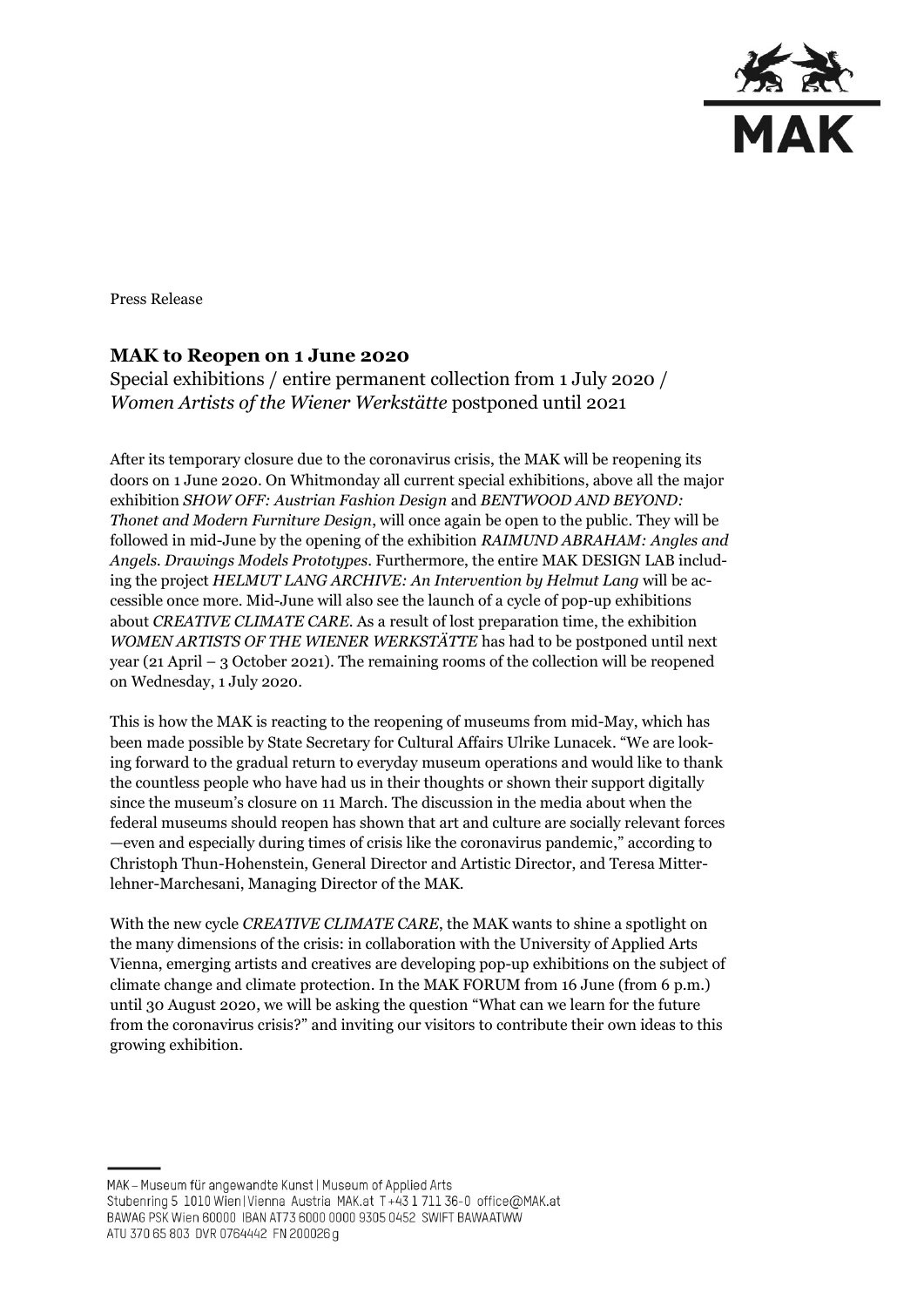

Press Release

# **MAK to Reopen on 1 June 2020**

Special exhibitions / entire permanent collection from 1 July 2020 / *Women Artists of the Wiener Werkstätte* postponed until 2021

After its temporary closure due to the coronavirus crisis, the MAK will be reopening its doors on 1 June 2020. On Whitmonday all current special exhibitions, above all the major exhibition *SHOW OFF: Austrian Fashion Design* and *BENTWOOD AND BEYOND: Thonet and Modern Furniture Design*, will once again be open to the public. They will be followed in mid-June by the opening of the exhibition *RAIMUND ABRAHAM: Angles and Angels. Drawings Models Prototypes*. Furthermore, the entire MAK DESIGN LAB including the project *HELMUT LANG ARCHIVE: An Intervention by Helmut Lang* will be accessible once more. Mid-June will also see the launch of a cycle of pop-up exhibitions about *CREATIVE CLIMATE CARE*. As a result of lost preparation time, the exhibition *WOMEN ARTISTS OF THE WIENER WERKSTÄTTE* has had to be postponed until next year (21 April – 3 October 2021). The remaining rooms of the collection will be reopened on Wednesday, 1 July 2020.

This is how the MAK is reacting to the reopening of museums from mid-May, which has been made possible by State Secretary for Cultural Affairs Ulrike Lunacek. "We are looking forward to the gradual return to everyday museum operations and would like to thank the countless people who have had us in their thoughts or shown their support digitally since the museum's closure on 11 March. The discussion in the media about when the federal museums should reopen has shown that art and culture are socially relevant forces —even and especially during times of crisis like the coronavirus pandemic," according to Christoph Thun-Hohenstein, General Director and Artistic Director, and Teresa Mitterlehner-Marchesani, Managing Director of the MAK.

With the new cycle *CREATIVE CLIMATE CARE*, the MAK wants to shine a spotlight on the many dimensions of the crisis: in collaboration with the University of Applied Arts Vienna, emerging artists and creatives are developing pop-up exhibitions on the subject of climate change and climate protection. In the MAK FORUM from 16 June (from 6 p.m.) until 30 August 2020, we will be asking the question "What can we learn for the future from the coronavirus crisis?" and inviting our visitors to contribute their own ideas to this growing exhibition.

MAK - Museum für angewandte Kunst | Museum of Applied Arts Stubenring 5 1010 Wien | Vienna Austria MAK.at T+43 1 711 36-0 office@MAK.at BAWAG PSK Wien 60000 IBAN AT73 6000 0000 9305 0452 SWIFT BAWAATWW ATU 370 65 803 DVR 0764442 FN 200026 g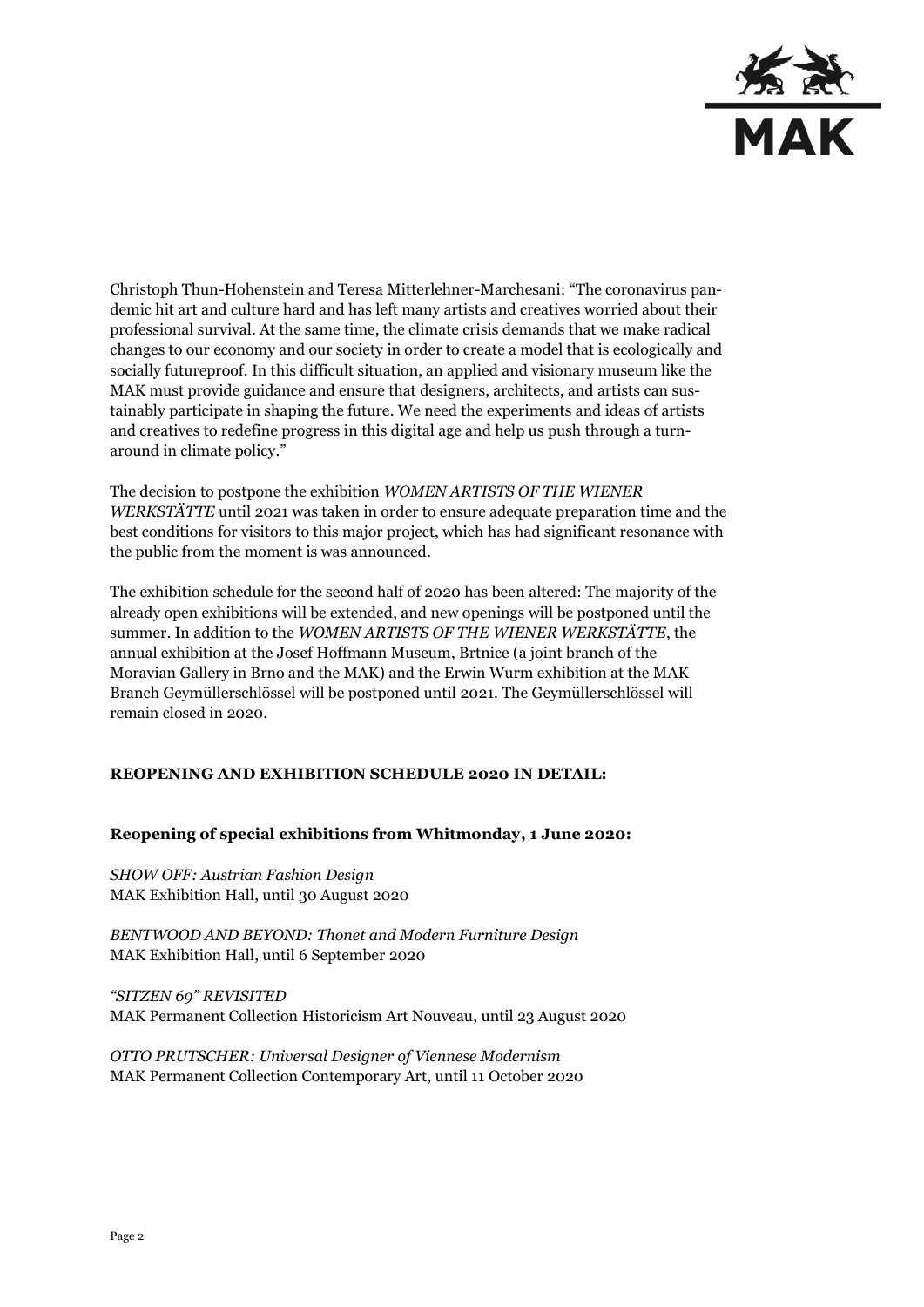

Christoph Thun-Hohenstein and Teresa Mitterlehner-Marchesani: "The coronavirus pandemic hit art and culture hard and has left many artists and creatives worried about their professional survival. At the same time, the climate crisis demands that we make radical changes to our economy and our society in order to create a model that is ecologically and socially futureproof. In this difficult situation, an applied and visionary museum like the MAK must provide guidance and ensure that designers, architects, and artists can sustainably participate in shaping the future. We need the experiments and ideas of artists and creatives to redefine progress in this digital age and help us push through a turnaround in climate policy."

The decision to postpone the exhibition *WOMEN ARTISTS OF THE WIENER WERKSTÄTTE* until 2021 was taken in order to ensure adequate preparation time and the best conditions for visitors to this major project, which has had significant resonance with the public from the moment is was announced.

The exhibition schedule for the second half of 2020 has been altered: The majority of the already open exhibitions will be extended, and new openings will be postponed until the summer. In addition to the *WOMEN ARTISTS OF THE WIENER WERKSTÄTTE*, the annual exhibition at the Josef Hoffmann Museum, Brtnice (a joint branch of the Moravian Gallery in Brno and the MAK) and the Erwin Wurm exhibition at the MAK Branch Geymüllerschlössel will be postponed until 2021. The Geymüllerschlössel will remain closed in 2020.

## **REOPENING AND EXHIBITION SCHEDULE 2020 IN DETAIL:**

### **Reopening of special exhibitions from Whitmonday, 1 June 2020:**

*SHOW OFF: Austrian Fashion Design* MAK Exhibition Hall, until 30 August 2020

*BENTWOOD AND BEYOND: Thonet and Modern Furniture Design* MAK Exhibition Hall, until 6 September 2020

*"SITZEN 69" REVISITED* MAK Permanent Collection Historicism Art Nouveau, until 23 August 2020

*OTTO PRUTSCHER: Universal Designer of Viennese Modernism* MAK Permanent Collection Contemporary Art, until 11 October 2020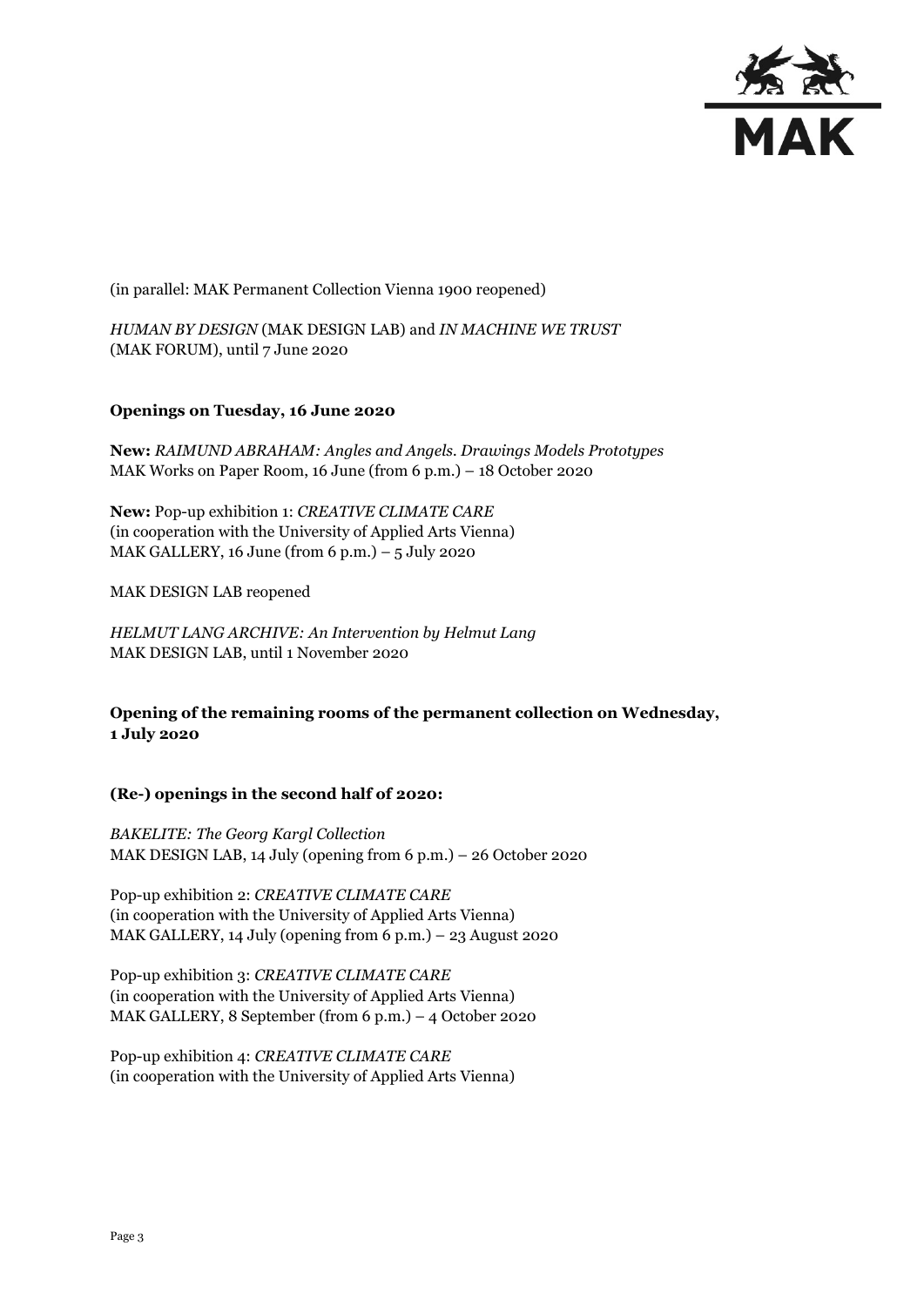

(in parallel: MAK Permanent Collection Vienna 1900 reopened)

*HUMAN BY DESIGN* (MAK DESIGN LAB) and *IN MACHINE WE TRUST* (MAK FORUM), until 7 June 2020

#### **Openings on Tuesday, 16 June 2020**

**New:** *RAIMUND ABRAHAM: Angles and Angels. Drawings Models Prototypes* MAK Works on Paper Room, 16 June (from 6 p.m.) – 18 October 2020

**New:** Pop-up exhibition 1: *CREATIVE CLIMATE CARE* (in cooperation with the University of Applied Arts Vienna) MAK GALLERY, 16 June (from 6 p.m.)  $-5$  July 2020

MAK DESIGN LAB reopened

*HELMUT LANG ARCHIVE: An Intervention by Helmut Lang* MAK DESIGN LAB, until 1 November 2020

**Opening of the remaining rooms of the permanent collection on Wednesday, 1 July 2o20**

### **(Re-) openings in the second half of 2020:**

*BAKELITE: The Georg Kargl Collection* MAK DESIGN LAB, 14 July (opening from 6 p.m.) – 26 October 2020

Pop-up exhibition 2: *CREATIVE CLIMATE CARE* (in cooperation with the University of Applied Arts Vienna) MAK GALLERY, 14 July (opening from 6 p.m.) – 23 August 2020

Pop-up exhibition 3: *CREATIVE CLIMATE CARE* (in cooperation with the University of Applied Arts Vienna) MAK GALLERY, 8 September (from 6 p.m.) – 4 October 2020

Pop-up exhibition 4: *CREATIVE CLIMATE CARE* (in cooperation with the University of Applied Arts Vienna)